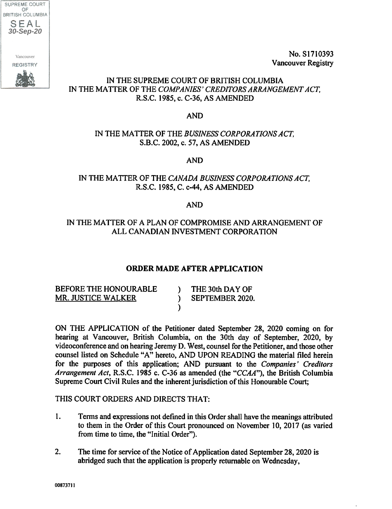

No. S1710393 Vancouver Registry

# IN THE SUPREME COURT OF BRITISH COLUMBIA IN THE MATTER OF THE COMPANIES' CREDITORS ARRANGEMENT ACT, R.S.C. 1985, c. C-36, AS AMENDED

### AND

### IN THE MATTER OF THE BUSINESS CORPORATIONS ACT, S.B.C. 2002, c. 57, AS AMENDED

AND

# IN THE MATTER OF THE CANADA BUSINESS CORPORATIONS ACT, R.S.C. 1985, C. c-44, AS AMENDED

#### AND

### IN THE MATTER OF A PLAN OF COMPROMISE AND ARRANGEMENT OF ALL CANADIAN INVESTMENT CORPORATION

### ORDER MADE AFTER APPLICATION

| BEFORE THE HONOURABLE | THE 30th DAY OF        |
|-----------------------|------------------------|
| MR. JUSTICE WALKER    | <b>SEPTEMBER 2020.</b> |
|                       |                        |

ON THE APPLICATION of the Petitioner dated September 28, 2020 coming on for hearing at Vancouver, British Columbia, on the 30th day of September, 2020, by videoconference and on hearing Jeremy D. West, counsel for the Petitioner, and those other counsel listed on Schedule "A" hereto, AND UPON READING the material filed herein for the purposes of this application; AND pursuant to the Companies' Creditors Arrangement Act, R.S.C. 1985 c. C-36 as amended (the "CCAA"), the British Columbia Supreme Court Civil Rules and the inherent jurisdiction of this Honourable Court;

### THIS COURT ORDERS AND DIRECTS THAT:

- 1. Terms and expressions not defined in this Order shall have the meanings attributed to them in the Order of this Court pronounced on November 10, 2017 (as varied from time to time, the "Initial Order").
- 2. The time for service of the Notice of Application dated September 28, 2020 is abridged such that the application is properly returnable on Wednesday,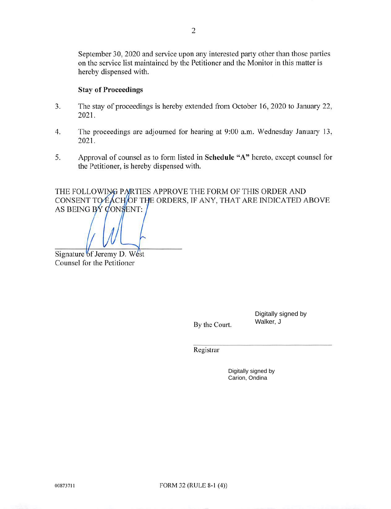September 30, 2020 and service upon any interested party other than those parties on the service list maintained by the Petitioner and the Monitor in this matter is hereby dispensed with.

### Stay of Proceedings

- 3. The stay of proceedings is hereby extended from October 16, 2020 to January 22, 2021.
- 4. The proceedings are adjourned for hearing at 9:00 a.m. Wednesday January 13, 2021.
- 5. Approval of counsel as to form listed in Schedule "A" hereto, except counsel for the Petitioner, is hereby dispensed with.

THE FOLLOWING PARTIES APPROVE THE FORM OF THIS ORDER AND CONSENT TO EACH OF THE ORDERS, IF ANY, THAT ARE INDICATED ABOVE AS BEING BY CONSENT:

Signature of Jeremy D. West Counsel for the Petitioner

Digitally signed by Walker, J

Registrar

By the Court.

Digitally signed by Carion, Ondina